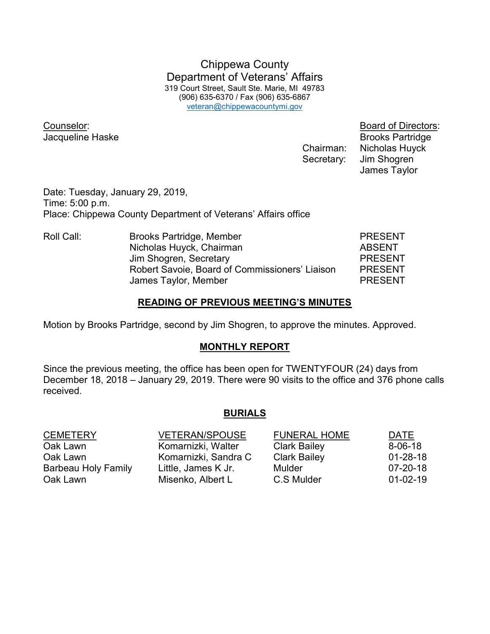Chippewa County Department of Veterans' Affairs 319 Court Street, Sault Ste. Marie, MI 49783 (906) 635-6370 / Fax (906) 635-6867 veteran@chippewacountymi.gov

Counselor: Board of Directors:

**Jacqueline Haske** Brooks Partridge Chairman: Nicholas Huyck Secretary: Jim Shogren James Taylor

Date: Tuesday, January 29, 2019, Time: 5:00 p.m. Place: Chippewa County Department of Veterans' Affairs office

Roll Call: Brooks Partridge, Member PRESENT Nicholas Huyck, Chairman **ABSENT** Jim Shogren, Secretary **PRESENT**  Robert Savoie, Board of Commissioners' Liaison PRESENT James Taylor, Member **PRESENT** 

### READING OF PREVIOUS MEETING'S MINUTES

Motion by Brooks Partridge, second by Jim Shogren, to approve the minutes. Approved.

## MONTHLY REPORT

Since the previous meeting, the office has been open for TWENTYFOUR (24) days from December 18, 2018 – January 29, 2019. There were 90 visits to the office and 376 phone calls received.

#### BURIALS

# CEMETERY VETERAN/SPOUSE FUNERAL HOME DATE Oak Lawn **Komarnizki, Walter** Clark Bailey 8-06-18 Oak Lawn Komarnizki, Sandra C Clark Bailey 01-28-18 Barbeau Holy Family Little, James K Jr. Mulder 67-20-18 Oak Lawn Misenko, Albert L C.S Mulder 01-02-19